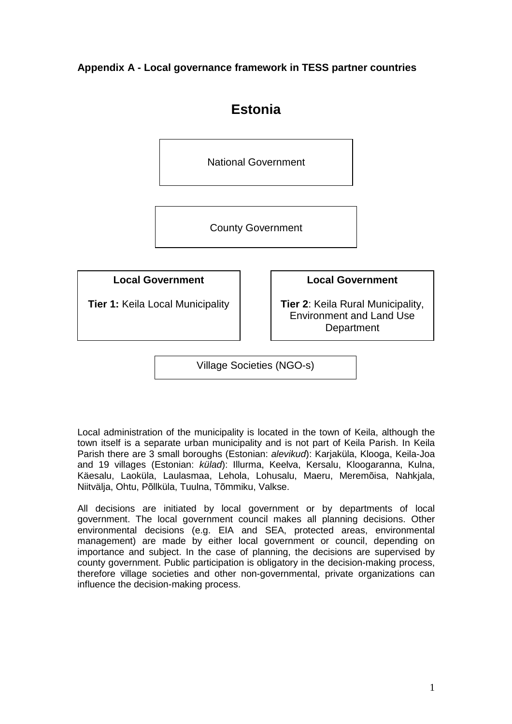**Appendix A - Local governance framework in TESS partner countries** 



Village Societies (NGO-s)

Local administration of the municipality is located in the town of Keila, although the town itself is a separate urban municipality and is not part of Keila Parish. In Keila Parish there are 3 small boroughs (Estonian: alevikud): Kariaküla, Klooga, Keila-Joa and 19 villages (Estonian: külad): Illurma, Keelva, Kersalu, Kloogaranna, Kulna, Käesalu, Laoküla, Laulasmaa, Lehola, Lohusalu, Maeru, Meremõisa, Nahkjala, Niitvälja, Ohtu, Põllküla, Tuulna, Tõmmiku, Valkse.

All decisions are initiated by local government or by departments of local government. The local government council makes all planning decisions. Other environmental decisions (e.g. EIA and SEA, protected areas, environmental management) are made by either local government or council, depending on importance and subject. In the case of planning, the decisions are supervised by county government. Public participation is obligatory in the decision-making process, therefore village societies and other non-governmental, private organizations can influence the decision-making process.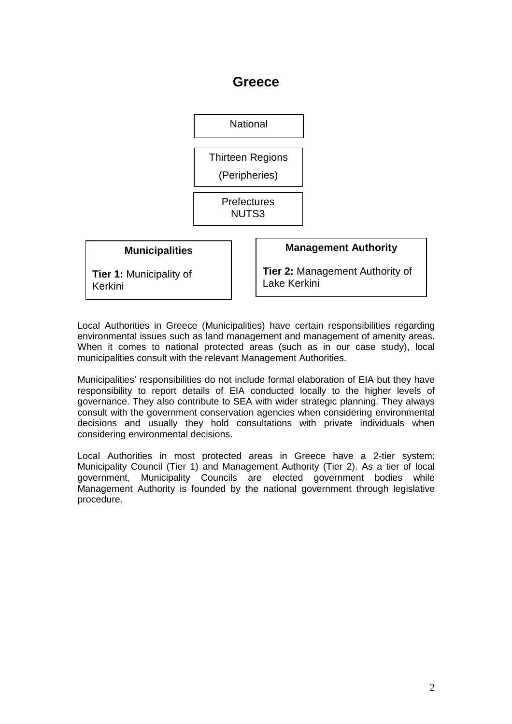### **Greece**



Local Authorities in Greece (Municipalities) have certain responsibilities regarding environmental issues such as land management and management of amenity areas. When it comes to national protected areas (such as in our case study), local municipalities consult with the relevant Management Authorities.

Municipalities' responsibilities do not include formal elaboration of EIA but they have responsibility to report details of EIA conducted locally to the higher levels of governance. They also contribute to SEA with wider strategic planning. They always consult with the government conservation agencies when considering environmental decisions and usually they hold consultations with private individuals when considering environmental decisions.

Local Authorities in most protected areas in Greece have a 2-tier system: Municipality Council (Tier 1) and Management Authority (Tier 2). As a tier of local government, Municipality Councils are elected government bodies while Management Authority is founded by the national government through legislative procedure.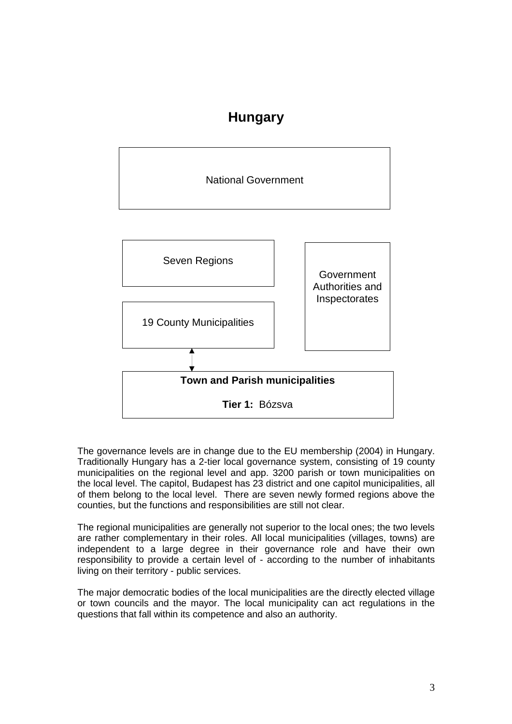## **Hungary**



The governance levels are in change due to the EU membership (2004) in Hungary. Traditionally Hungary has a 2-tier local governance system, consisting of 19 county municipalities on the regional level and app. 3200 parish or town municipalities on the local level. The capitol, Budapest has 23 district and one capitol municipalities, all of them belong to the local level. There are seven newly formed regions above the counties, but the functions and responsibilities are still not clear.

The regional municipalities are generally not superior to the local ones; the two levels are rather complementary in their roles. All local municipalities (villages, towns) are independent to a large degree in their governance role and have their own responsibility to provide a certain level of - according to the number of inhabitants living on their territory - public services.

The major democratic bodies of the local municipalities are the directly elected village or town councils and the mayor. The local municipality can act regulations in the questions that fall within its competence and also an authority.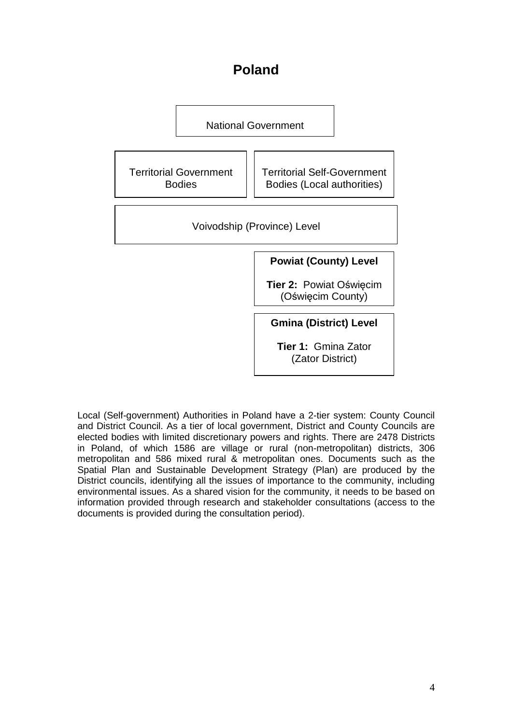## **Poland**



Local (Self-government) Authorities in Poland have a 2-tier system: County Council and District Council. As a tier of local government, District and County Councils are elected bodies with limited discretionary powers and rights. There are 2478 Districts in Poland, of which 1586 are village or rural (non-metropolitan) districts, 306 metropolitan and 586 mixed rural & metropolitan ones. Documents such as the Spatial Plan and Sustainable Development Strategy (Plan) are produced by the District councils, identifying all the issues of importance to the community, including environmental issues. As a shared vision for the community, it needs to be based on information provided through research and stakeholder consultations (access to the documents is provided during the consultation period).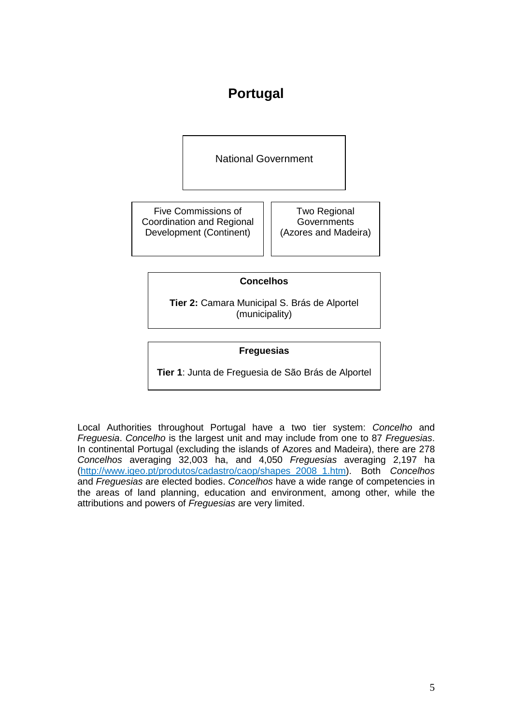# **Portugal**

National Government

Five Commissions of Coordination and Regional Development (Continent)

Two Regional **Governments** (Azores and Madeira)

### **Concelhos**

**Tier 2:** Camara Municipal S. Brás de Alportel (municipality)

### **Freguesias**

**Tier 1**: Junta de Freguesia de São Brás de Alportel

Local Authorities throughout Portugal have a two tier system: Concelho and Freguesia. Concelho is the largest unit and may include from one to 87 Freguesias. In continental Portugal (excluding the islands of Azores and Madeira), there are 278 Concelhos averaging 32,003 ha, and 4,050 Freguesias averaging 2,197 ha (http://www.igeo.pt/produtos/cadastro/caop/shapes\_2008\_1.htm). Both Concelhos and Freguesias are elected bodies. Concelhos have a wide range of competencies in the areas of land planning, education and environment, among other, while the attributions and powers of Frequesias are very limited.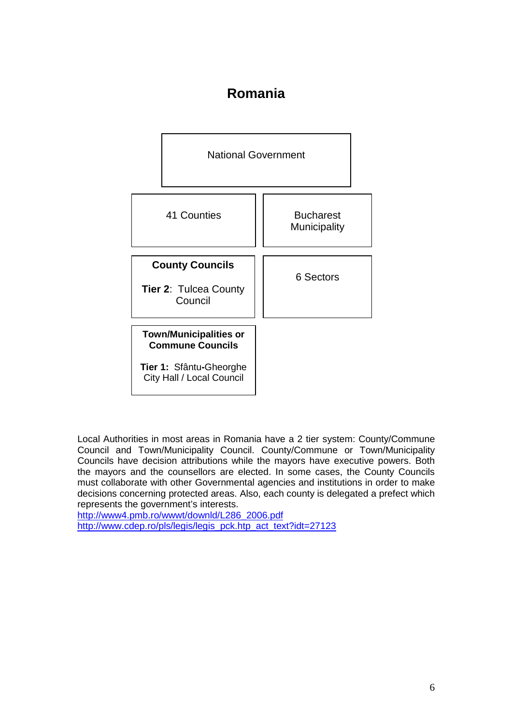### **Romania**



Local Authorities in most areas in Romania have a 2 tier system: County/Commune Council and Town/Municipality Council. County/Commune or Town/Municipality Councils have decision attributions while the mayors have executive powers. Both the mayors and the counsellors are elected. In some cases, the County Councils must collaborate with other Governmental agencies and institutions in order to make decisions concerning protected areas. Also, each county is delegated a prefect which represents the government's interests.

http://www4.pmb.ro/wwwt/downld/L286\_2006.pdf http://www.cdep.ro/pls/legis/legis\_pck.htp\_act\_text?idt=27123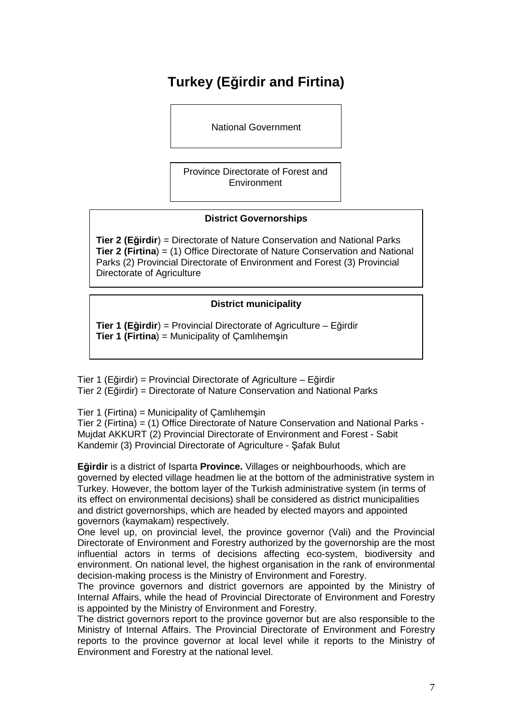# **Turkey (Eğirdir and Firtina)**

National Government

Province Directorate of Forest and **Environment** 

### **District Governorships**

**Tier 2 (Eğirdir**) = Directorate of Nature Conservation and National Parks **Tier 2 (Firtina**) = (1) Office Directorate of Nature Conservation and National Parks (2) Provincial Directorate of Environment and Forest (3) Provincial Directorate of Agriculture

### **District municipality**

**Tier 1 (Eğirdir**) = Provincial Directorate of Agriculture – Eğirdir **Tier 1 (Firtina**) = Municipality of Çamlıhemşin

Tier 1 (Eğirdir) = Provincial Directorate of Agriculture – Eğirdir Tier 2 (Eğirdir) = Directorate of Nature Conservation and National Parks

Tier 1 (Firtina) = Municipality of Çamlıhemşin

Tier 2 (Firtina) = (1) Office Directorate of Nature Conservation and National Parks - Mujdat AKKURT (2) Provincial Directorate of Environment and Forest - Sabit Kandemir (3) Provincial Directorate of Agriculture - Şafak Bulut

**Eğirdir** is a district of Isparta **Province.** Villages or neighbourhoods, which are governed by elected village headmen lie at the bottom of the administrative system in Turkey. However, the bottom layer of the Turkish administrative system (in terms of its effect on environmental decisions) shall be considered as district municipalities and district governorships, which are headed by elected mayors and appointed governors (kaymakam) respectively.

One level up, on provincial level, the province governor (Vali) and the Provincial Directorate of Environment and Forestry authorized by the governorship are the most influential actors in terms of decisions affecting eco-system, biodiversity and environment. On national level, the highest organisation in the rank of environmental decision-making process is the Ministry of Environment and Forestry.

The province governors and district governors are appointed by the Ministry of Internal Affairs, while the head of Provincial Directorate of Environment and Forestry is appointed by the Ministry of Environment and Forestry.

The district governors report to the province governor but are also responsible to the Ministry of Internal Affairs. The Provincial Directorate of Environment and Forestry reports to the province governor at local level while it reports to the Ministry of Environment and Forestry at the national level.